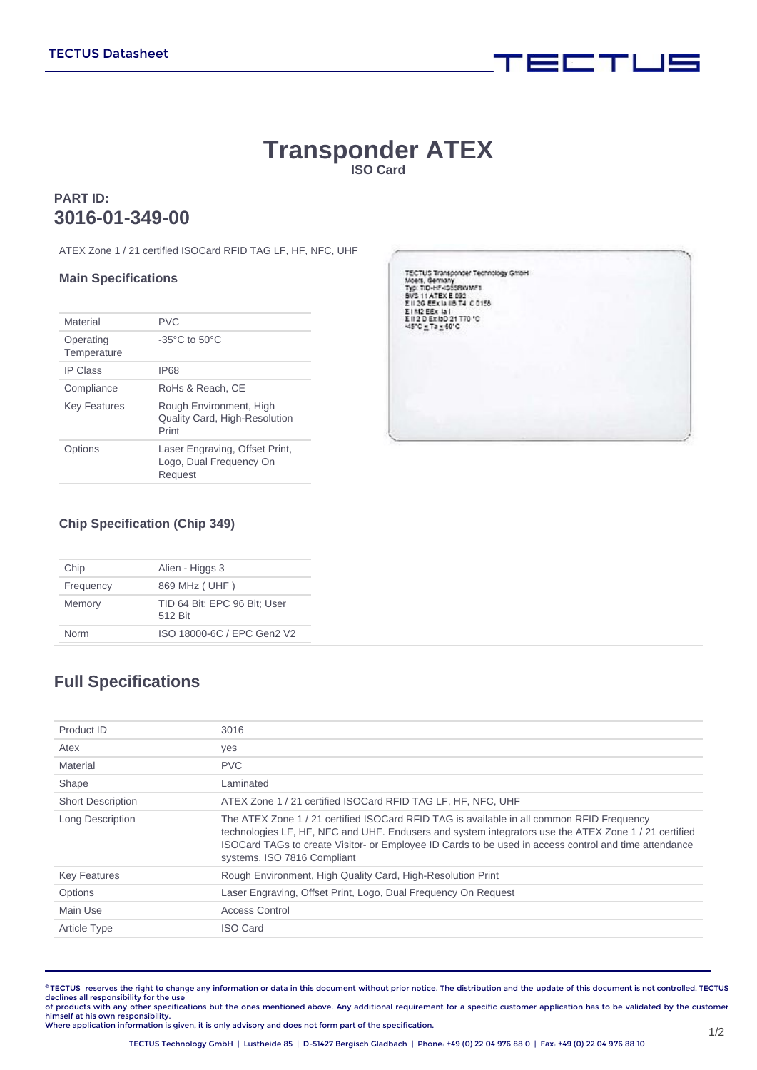# **Transponder ATEX ISO Card**

### **PART ID: 3016-01-349-00**

ATEX Zone 1 / 21 certified ISOCard RFID TAG LF, HF, NFC, UHF

#### **Main Specifications**

| Material                 | <b>PVC</b>                                                           |
|--------------------------|----------------------------------------------------------------------|
| Operating<br>Temperature | $-35^{\circ}$ C to $50^{\circ}$ C                                    |
| <b>IP Class</b>          | IP68                                                                 |
| Compliance               | RoHs & Reach. CE                                                     |
| <b>Key Features</b>      | Rough Environment, High<br>Quality Card, High-Resolution<br>Print    |
| Dptions                  | Laser Engraving, Offset Print,<br>Logo, Dual Frequency On<br>Request |



 $\equiv$  and  $\equiv$   $\equiv$ 

#### **Chip Specification (Chip 349)**

| Chip      | Alien - Higgs 3                         |  |  |
|-----------|-----------------------------------------|--|--|
| Frequency | 869 MHz ( UHF )                         |  |  |
| Memory    | TID 64 Bit; EPC 96 Bit; User<br>512 Bit |  |  |
| Norm      | ISO 18000-6C / EPC Gen2 V2              |  |  |

## **Full Specifications**

| Product ID               | 3016                                                                                                                                                                                                                                                                                                                                  |
|--------------------------|---------------------------------------------------------------------------------------------------------------------------------------------------------------------------------------------------------------------------------------------------------------------------------------------------------------------------------------|
| Atex                     | yes                                                                                                                                                                                                                                                                                                                                   |
| Material                 | <b>PVC</b>                                                                                                                                                                                                                                                                                                                            |
| Shape                    | Laminated                                                                                                                                                                                                                                                                                                                             |
| <b>Short Description</b> | ATEX Zone 1 / 21 certified ISOCard RFID TAG LF, HF, NFC, UHF                                                                                                                                                                                                                                                                          |
| Long Description         | The ATEX Zone 1/21 certified ISOCard RFID TAG is available in all common RFID Frequency<br>technologies LF, HF, NFC and UHF. Endusers and system integrators use the ATEX Zone 1/21 certified<br>ISOCard TAGs to create Visitor- or Employee ID Cards to be used in access control and time attendance<br>systems. ISO 7816 Compliant |
| <b>Key Features</b>      | Rough Environment, High Quality Card, High-Resolution Print                                                                                                                                                                                                                                                                           |
| Options                  | Laser Engraving, Offset Print, Logo, Dual Frequency On Request                                                                                                                                                                                                                                                                        |
| Main Use                 | Access Control                                                                                                                                                                                                                                                                                                                        |
| <b>Article Type</b>      | <b>ISO Card</b>                                                                                                                                                                                                                                                                                                                       |
|                          |                                                                                                                                                                                                                                                                                                                                       |

**©** TECTUS reserves the right to change any information or data in this document without prior notice. The distribution and the update of this document is not controlled. TECTUS declines all responsibility for the use<br>of products with any other specifications but the ones mentioned above. Any additional requirement for a specific customer application has to be validated by the customer

himself at his own responsibility. Where application information is given, it is only advisory and does not form part of the specification.